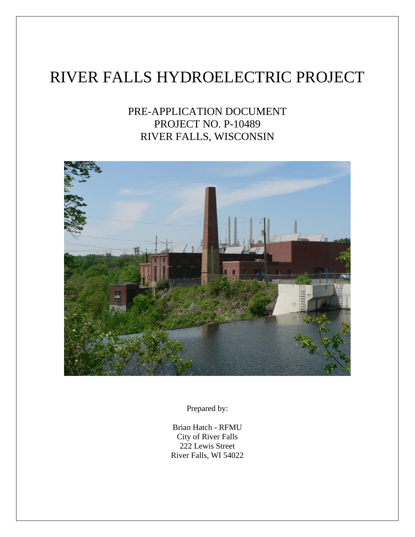# RIVER FALLS HYDROELECTRIC PROJECT

# PRE-APPLICATION DOCUMENT PROJECT NO. P-10489 RIVER FALLS, WISCONSIN



Prepared by:

Brian Hatch - RFMU City of River Falls 222 Lewis Street River Falls, WI 54022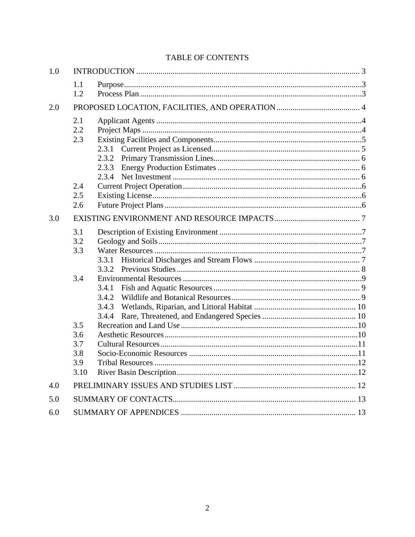# TABLE OF CONTENTS

| 1.0 |                                         |                                  |  |  |
|-----|-----------------------------------------|----------------------------------|--|--|
|     | 1.1<br>1.2                              |                                  |  |  |
| 2.0 |                                         |                                  |  |  |
|     | 2.1<br>2.2<br>2.3                       |                                  |  |  |
|     |                                         |                                  |  |  |
|     | 2.4<br>2.5<br>2.6                       |                                  |  |  |
| 3.0 |                                         |                                  |  |  |
|     | 3.1<br>3.2<br>3.3                       | 3.3.1                            |  |  |
|     | 3.4                                     | 3.4.1<br>3.4.2<br>3.4.3<br>3.4.4 |  |  |
|     | 3.5<br>3.6<br>3.7<br>3.8<br>3.9<br>3.10 |                                  |  |  |
| 4.0 |                                         |                                  |  |  |
| 5.0 |                                         |                                  |  |  |
| 6.0 |                                         |                                  |  |  |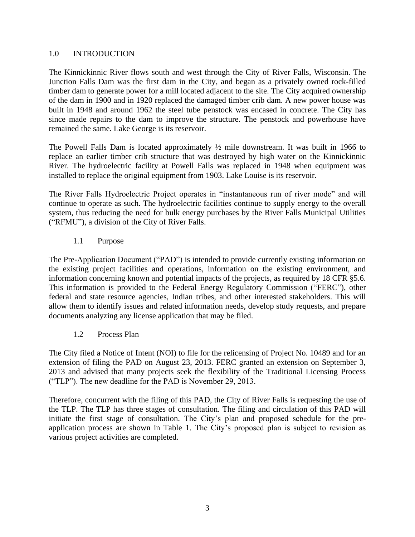#### 1.0 INTRODUCTION

The Kinnickinnic River flows south and west through the City of River Falls, Wisconsin. The Junction Falls Dam was the first dam in the City, and began as a privately owned rock-filled timber dam to generate power for a mill located adjacent to the site. The City acquired ownership of the dam in 1900 and in 1920 replaced the damaged timber crib dam. A new power house was built in 1948 and around 1962 the steel tube penstock was encased in concrete. The City has since made repairs to the dam to improve the structure. The penstock and powerhouse have remained the same. Lake George is its reservoir.

The Powell Falls Dam is located approximately ½ mile downstream. It was built in 1966 to replace an earlier timber crib structure that was destroyed by high water on the Kinnickinnic River. The hydroelectric facility at Powell Falls was replaced in 1948 when equipment was installed to replace the original equipment from 1903. Lake Louise is its reservoir.

The River Falls Hydroelectric Project operates in "instantaneous run of river mode" and will continue to operate as such. The hydroelectric facilities continue to supply energy to the overall system, thus reducing the need for bulk energy purchases by the River Falls Municipal Utilities ("RFMU"), a division of the City of River Falls.

# 1.1 Purpose

The Pre-Application Document ("PAD") is intended to provide currently existing information on the existing project facilities and operations, information on the existing environment, and information concerning known and potential impacts of the projects, as required by 18 CFR §5.6. This information is provided to the Federal Energy Regulatory Commission ("FERC"), other federal and state resource agencies, Indian tribes, and other interested stakeholders. This will allow them to identify issues and related information needs, develop study requests, and prepare documents analyzing any license application that may be filed.

#### 1.2 Process Plan

The City filed a Notice of Intent (NOI) to file for the relicensing of Project No. 10489 and for an extension of filing the PAD on August 23, 2013. FERC granted an extension on September 3, 2013 and advised that many projects seek the flexibility of the Traditional Licensing Process ("TLP"). The new deadline for the PAD is November 29, 2013.

Therefore, concurrent with the filing of this PAD, the City of River Falls is requesting the use of the TLP. The TLP has three stages of consultation. The filing and circulation of this PAD will initiate the first stage of consultation. The City's plan and proposed schedule for the preapplication process are shown in Table 1. The City's proposed plan is subject to revision as various project activities are completed.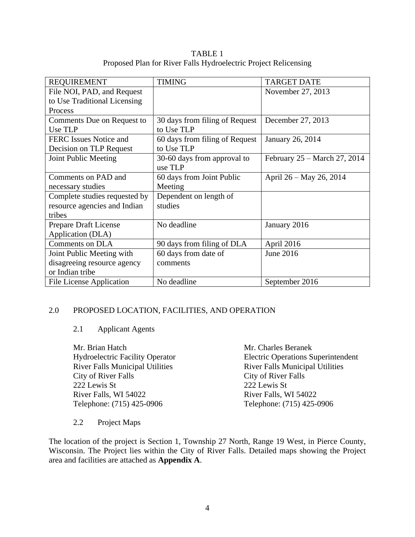TABLE 1 Proposed Plan for River Falls Hydroelectric Project Relicensing

| <b>REQUIREMENT</b>            | <b>TIMING</b>                  | <b>TARGET DATE</b>           |
|-------------------------------|--------------------------------|------------------------------|
| File NOI, PAD, and Request    |                                | November 27, 2013            |
| to Use Traditional Licensing  |                                |                              |
| Process                       |                                |                              |
| Comments Due on Request to    | 30 days from filing of Request | December 27, 2013            |
| Use TLP                       | to Use TLP                     |                              |
| <b>FERC</b> Issues Notice and | 60 days from filing of Request | January 26, 2014             |
| Decision on TLP Request       | to Use TLP                     |                              |
| Joint Public Meeting          | 30-60 days from approval to    | February 25 – March 27, 2014 |
|                               | use TLP                        |                              |
| Comments on PAD and           | 60 days from Joint Public      | April 26 – May 26, 2014      |
| necessary studies             | Meeting                        |                              |
| Complete studies requested by | Dependent on length of         |                              |
| resource agencies and Indian  | studies                        |                              |
| tribes                        |                                |                              |
| Prepare Draft License         | No deadline                    | January 2016                 |
| Application (DLA)             |                                |                              |
| <b>Comments on DLA</b>        | 90 days from filing of DLA     | April 2016                   |
| Joint Public Meeting with     | 60 days from date of           | June 2016                    |
| disagreeing resource agency   | comments                       |                              |
| or Indian tribe               |                                |                              |
| File License Application      | No deadline                    | September 2016               |

#### 2.0 PROPOSED LOCATION, FACILITIES, AND OPERATION

#### 2.1 Applicant Agents

Mr. Brian Hatch Hydroelectric Facility Operator River Falls Municipal Utilities City of River Falls 222 Lewis St River Falls, WI 54022 Telephone: (715) 425-0906

Mr. Charles Beranek Electric Operations Superintendent River Falls Municipal Utilities City of River Falls 222 Lewis St River Falls, WI 54022 Telephone: (715) 425-0906

#### 2.2 Project Maps

The location of the project is Section 1, Township 27 North, Range 19 West, in Pierce County, Wisconsin. The Project lies within the City of River Falls. Detailed maps showing the Project area and facilities are attached as **Appendix A**.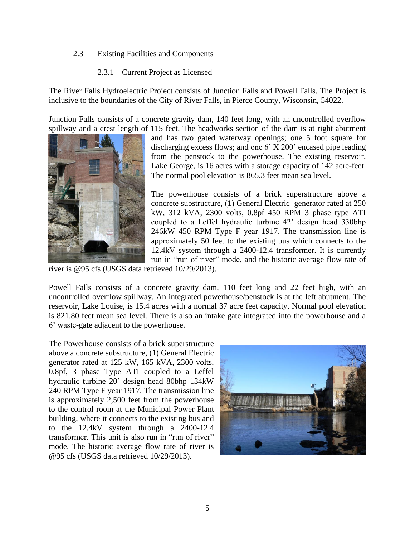#### 2.3 Existing Facilities and Components

#### 2.3.1 Current Project as Licensed

The River Falls Hydroelectric Project consists of Junction Falls and Powell Falls. The Project is inclusive to the boundaries of the City of River Falls, in Pierce County, Wisconsin, 54022.

Junction Falls consists of a concrete gravity dam, 140 feet long, with an uncontrolled overflow spillway and a crest length of 115 feet. The headworks section of the dam is at right abutment



and has two gated waterway openings; one 5 foot square for discharging excess flows; and one 6' X 200' encased pipe leading from the penstock to the powerhouse. The existing reservoir, Lake George, is 16 acres with a storage capacity of 142 acre-feet. The normal pool elevation is 865.3 feet mean sea level.

The powerhouse consists of a brick superstructure above a concrete substructure, (1) General Electric generator rated at 250 kW, 312 kVA, 2300 volts, 0.8pf 450 RPM 3 phase type ATI coupled to a Leffel hydraulic turbine 42' design head 330bhp 246kW 450 RPM Type F year 1917. The transmission line is approximately 50 feet to the existing bus which connects to the 12.4kV system through a 2400-12.4 transformer. It is currently run in "run of river" mode, and the historic average flow rate of

river is @95 cfs (USGS data retrieved 10/29/2013).

Powell Falls consists of a concrete gravity dam, 110 feet long and 22 feet high, with an uncontrolled overflow spillway. An integrated powerhouse/penstock is at the left abutment. The reservoir, Lake Louise, is 15.4 acres with a normal 37 acre feet capacity. Normal pool elevation is 821.80 feet mean sea level. There is also an intake gate integrated into the powerhouse and a 6' waste-gate adjacent to the powerhouse.

The Powerhouse consists of a brick superstructure above a concrete substructure, (1) General Electric generator rated at 125 kW, 165 kVA, 2300 volts, 0.8pf, 3 phase Type ATI coupled to a Leffel hydraulic turbine 20' design head 80bhp 134kW 240 RPM Type F year 1917. The transmission line is approximately 2,500 feet from the powerhouse to the control room at the Municipal Power Plant building, where it connects to the existing bus and to the 12.4kV system through a 2400-12.4 transformer. This unit is also run in "run of river" mode. The historic average flow rate of river is @95 cfs (USGS data retrieved 10/29/2013).

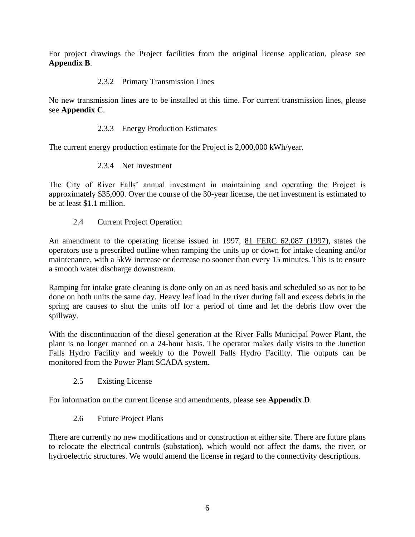For project drawings the Project facilities from the original license application, please see **Appendix B**.

#### 2.3.2 Primary Transmission Lines

No new transmission lines are to be installed at this time. For current transmission lines, please see **Appendix C**.

#### 2.3.3 Energy Production Estimates

The current energy production estimate for the Project is 2,000,000 kWh/year.

#### 2.3.4 Net Investment

The City of River Falls' annual investment in maintaining and operating the Project is approximately \$35,000. Over the course of the 30-year license, the net investment is estimated to be at least \$1.1 million.

2.4 Current Project Operation

An amendment to the operating license issued in 1997, 81 FERC 62,087 (1997), states the operators use a prescribed outline when ramping the units up or down for intake cleaning and/or maintenance, with a 5kW increase or decrease no sooner than every 15 minutes. This is to ensure a smooth water discharge downstream.

Ramping for intake grate cleaning is done only on an as need basis and scheduled so as not to be done on both units the same day. Heavy leaf load in the river during fall and excess debris in the spring are causes to shut the units off for a period of time and let the debris flow over the spillway.

With the discontinuation of the diesel generation at the River Falls Municipal Power Plant, the plant is no longer manned on a 24-hour basis. The operator makes daily visits to the Junction Falls Hydro Facility and weekly to the Powell Falls Hydro Facility. The outputs can be monitored from the Power Plant SCADA system.

2.5 Existing License

For information on the current license and amendments, please see **Appendix D**.

#### 2.6 Future Project Plans

There are currently no new modifications and or construction at either site. There are future plans to relocate the electrical controls (substation), which would not affect the dams, the river, or hydroelectric structures. We would amend the license in regard to the connectivity descriptions.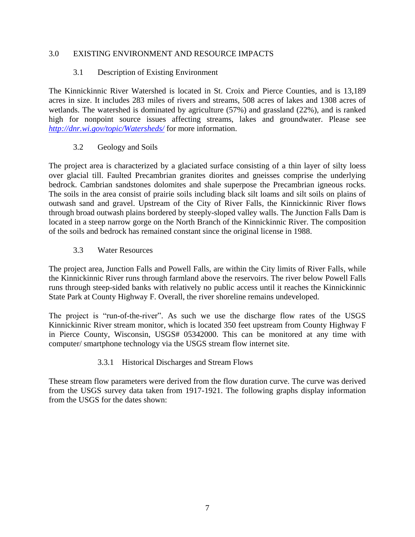#### 3.0 EXISTING ENVIRONMENT AND RESOURCE IMPACTS

#### 3.1 Description of Existing Environment

The Kinnickinnic River Watershed is located in St. Croix and Pierce Counties, and is 13,189 acres in size. It includes 283 miles of rivers and streams, 508 acres of lakes and 1308 acres of wetlands. The watershed is dominated by agriculture (57%) and grassland (22%), and is ranked high for nonpoint source issues affecting streams, lakes and groundwater. Please see *<http://dnr.wi.gov/topic/Watersheds/>* for more information.

#### 3.2 Geology and Soils

The project area is characterized by a glaciated surface consisting of a thin layer of silty loess over glacial till. Faulted Precambrian granites diorites and gneisses comprise the underlying bedrock. Cambrian sandstones dolomites and shale superpose the Precambrian igneous rocks. The soils in the area consist of prairie soils including black silt loams and silt soils on plains of outwash sand and gravel. Upstream of the City of River Falls, the Kinnickinnic River flows through broad outwash plains bordered by steeply-sloped valley walls. The Junction Falls Dam is located in a steep narrow gorge on the North Branch of the Kinnickinnic River. The composition of the soils and bedrock has remained constant since the original license in 1988.

#### 3.3 Water Resources

The project area, Junction Falls and Powell Falls, are within the City limits of River Falls, while the Kinnickinnic River runs through farmland above the reservoirs. The river below Powell Falls runs through steep-sided banks with relatively no public access until it reaches the Kinnickinnic State Park at County Highway F. Overall, the river shoreline remains undeveloped.

The project is "run-of-the-river". As such we use the discharge flow rates of the USGS Kinnickinnic River stream monitor, which is located 350 feet upstream from County Highway F in Pierce County, Wisconsin, USGS# 05342000. This can be monitored at any time with computer/ smartphone technology via the USGS stream flow internet site.

#### 3.3.1 Historical Discharges and Stream Flows

These stream flow parameters were derived from the flow duration curve. The curve was derived from the USGS survey data taken from 1917-1921. The following graphs display information from the USGS for the dates shown: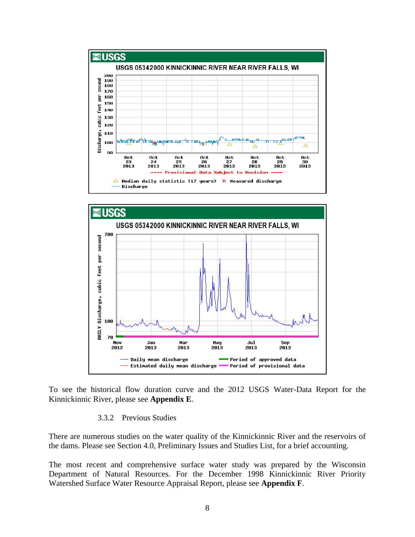



To see the historical flow duration curve and the 2012 USGS Water-Data Report for the Kinnickinnic River, please see **Appendix E**.

#### 3.3.2 Previous Studies

There are numerous studies on the water quality of the Kinnickinnic River and the reservoirs of the dams. Please see Section 4.0, Preliminary Issues and Studies List, for a brief accounting.

The most recent and comprehensive surface water study was prepared by the Wisconsin Department of Natural Resources. For the December 1998 Kinnickinnic River Priority Watershed Surface Water Resource Appraisal Report, please see **Appendix F**.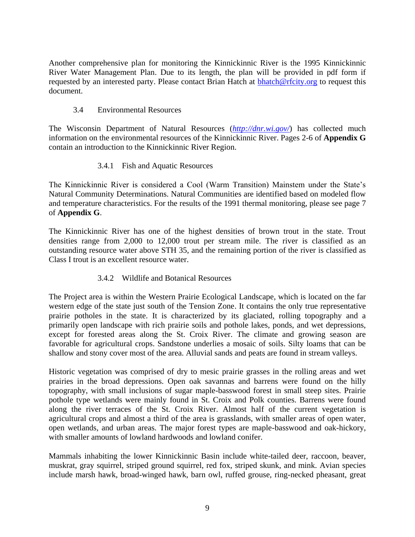Another comprehensive plan for monitoring the Kinnickinnic River is the 1995 Kinnickinnic River Water Management Plan. Due to its length, the plan will be provided in pdf form if requested by an interested party. Please contact Brian Hatch at **bhatch@rfcity.org** to request this document.

#### 3.4 Environmental Resources

The Wisconsin Department of Natural Resources (*[http://dnr.wi.gov/](http://dnr.wi.gov/topic/Watersheds/)*) has collected much information on the environmental resources of the Kinnickinnic River. Pages 2-6 of **Appendix G** contain an introduction to the Kinnickinnic River Region.

# 3.4.1 Fish and Aquatic Resources

The Kinnickinnic River is considered a Cool (Warm Transition) Mainstem under the State's Natural Community Determinations. Natural Communities are identified based on modeled flow and temperature characteristics. For the results of the 1991 thermal monitoring, please see page 7 of **Appendix G**.

The Kinnickinnic River has one of the highest densities of brown trout in the state. Trout densities range from 2,000 to 12,000 trout per stream mile. The river is classified as an outstanding resource water above STH 35, and the remaining portion of the river is classified as Class I trout is an excellent resource water.

# 3.4.2 Wildlife and Botanical Resources

The Project area is within the Western Prairie Ecological Landscape, which is located on the far western edge of the state just south of the Tension Zone. It contains the only true representative prairie potholes in the state. It is characterized by its glaciated, rolling topography and a primarily open landscape with rich prairie soils and pothole lakes, ponds, and wet depressions, except for forested areas along the St. Croix River. The climate and growing season are favorable for agricultural crops. Sandstone underlies a mosaic of soils. Silty loams that can be shallow and stony cover most of the area. Alluvial sands and peats are found in stream valleys.

Historic vegetation was comprised of dry to mesic prairie grasses in the rolling areas and wet prairies in the broad depressions. Open oak savannas and barrens were found on the hilly topography, with small inclusions of sugar maple-basswood forest in small steep sites. Prairie pothole type wetlands were mainly found in St. Croix and Polk counties. Barrens were found along the river terraces of the St. Croix River. Almost half of the current vegetation is agricultural crops and almost a third of the area is grasslands, with smaller areas of open water, open wetlands, and urban areas. The major forest types are maple-basswood and oak-hickory, with smaller amounts of lowland hardwoods and lowland conifer.

Mammals inhabiting the lower Kinnickinnic Basin include white-tailed deer, raccoon, beaver, muskrat, gray squirrel, striped ground squirrel, red fox, striped skunk, and mink. Avian species include marsh hawk, broad-winged hawk, barn owl, ruffed grouse, ring-necked pheasant, great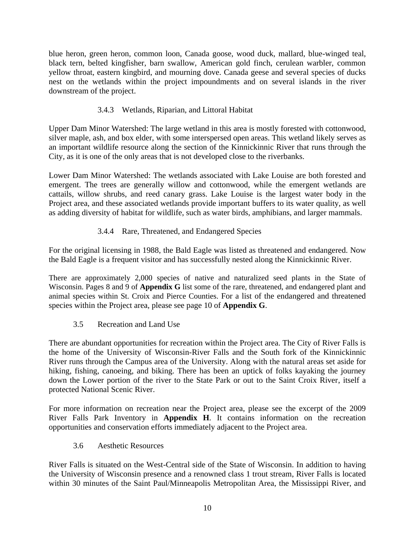blue heron, green heron, common loon, Canada goose, wood duck, mallard, blue-winged teal, black tern, belted kingfisher, barn swallow, American gold finch, cerulean warbler, common yellow throat, eastern kingbird, and mourning dove. Canada geese and several species of ducks nest on the wetlands within the project impoundments and on several islands in the river downstream of the project.

# 3.4.3 Wetlands, Riparian, and Littoral Habitat

Upper Dam Minor Watershed: The large wetland in this area is mostly forested with cottonwood, silver maple, ash, and box elder, with some interspersed open areas. This wetland likely serves as an important wildlife resource along the section of the Kinnickinnic River that runs through the City, as it is one of the only areas that is not developed close to the riverbanks.

Lower Dam Minor Watershed: The wetlands associated with Lake Louise are both forested and emergent. The trees are generally willow and cottonwood, while the emergent wetlands are cattails, willow shrubs, and reed canary grass. Lake Louise is the largest water body in the Project area, and these associated wetlands provide important buffers to its water quality, as well as adding diversity of habitat for wildlife, such as water birds, amphibians, and larger mammals.

# 3.4.4 Rare, Threatened, and Endangered Species

For the original licensing in 1988, the Bald Eagle was listed as threatened and endangered. Now the Bald Eagle is a frequent visitor and has successfully nested along the Kinnickinnic River.

There are approximately 2,000 species of native and naturalized seed plants in the State of Wisconsin. Pages 8 and 9 of **Appendix G** list some of the rare, threatened, and endangered plant and animal species within St. Croix and Pierce Counties. For a list of the endangered and threatened species within the Project area, please see page 10 of **Appendix G**.

3.5 Recreation and Land Use

There are abundant opportunities for recreation within the Project area. The City of River Falls is the home of the University of Wisconsin-River Falls and the South fork of the Kinnickinnic River runs through the Campus area of the University. Along with the natural areas set aside for hiking, fishing, canoeing, and biking. There has been an uptick of folks kayaking the journey down the Lower portion of the river to the State Park or out to the Saint Croix River, itself a protected National Scenic River.

For more information on recreation near the Project area, please see the excerpt of the 2009 River Falls Park Inventory in **Appendix H**. It contains information on the recreation opportunities and conservation efforts immediately adjacent to the Project area.

3.6 Aesthetic Resources

River Falls is situated on the West-Central side of the State of Wisconsin. In addition to having the University of Wisconsin presence and a renowned class 1 trout stream, River Falls is located within 30 minutes of the Saint Paul/Minneapolis Metropolitan Area, the Mississippi River, and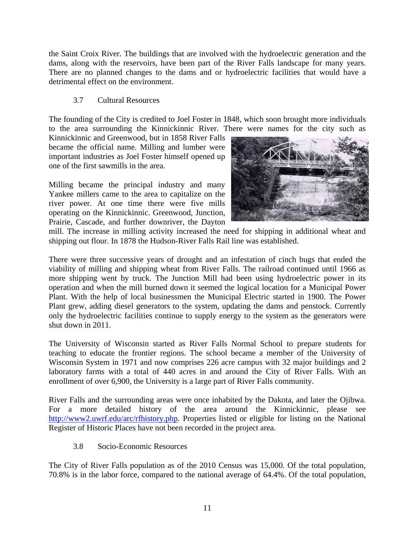the Saint Croix River. The buildings that are involved with the hydroelectric generation and the dams, along with the reservoirs, have been part of the River Falls landscape for many years. There are no planned changes to the dams and or hydroelectric facilities that would have a detrimental effect on the environment.

#### 3.7 Cultural Resources

The founding of the City is credited to Joel Foster in 1848, which soon brought more individuals to the area surrounding the Kinnickinnic River. There were names for the city such as

Kinnickinnic and Greenwood, but in 1858 River Falls became the official name. Milling and lumber were important industries as Joel Foster himself opened up one of the first sawmills in the area.

Milling became the principal industry and many Yankee millers came to the area to capitalize on the river power. At one time there were five mills operating on the Kinnickinnic. Greenwood, Junction, Prairie, Cascade, and further downriver, the Dayton



mill. The increase in milling activity increased the need for shipping in additional wheat and shipping out flour. In 1878 the Hudson-River Falls Rail line was established.

There were three successive years of drought and an infestation of cinch bugs that ended the viability of milling and shipping wheat from River Falls. The railroad continued until 1966 as more shipping went by truck. The Junction Mill had been using hydroelectric power in its operation and when the mill burned down it seemed the logical location for a Municipal Power Plant. With the help of local businessmen the Municipal Electric started in 1900. The Power Plant grew, adding diesel generators to the system, updating the dams and penstock. Currently only the hydroelectric facilities continue to supply energy to the system as the generators were shut down in 2011.

The University of Wisconsin started as River Falls Normal School to prepare students for teaching to educate the frontier regions. The school became a member of the University of Wisconsin System in 1971 and now comprises 226 acre campus with 32 major buildings and 2 laboratory farms with a total of 440 acres in and around the City of River Falls. With an enrollment of over 6,900, the University is a large part of River Falls community.

River Falls and the surrounding areas were once inhabited by the Dakota, and later the Ojibwa. For a more detailed history of the area around the Kinnickinnic, please see [http://www2.uwrf.edu/arc/rfhistory.php.](http://www2.uwrf.edu/arc/rfhistory.php) Properties listed or eligible for listing on the National Register of Historic Places have not been recorded in the project area.

3.8 Socio-Economic Resources

The City of River Falls population as of the 2010 Census was 15,000. Of the total population, 70.8% is in the labor force, compared to the national average of 64.4%. Of the total population,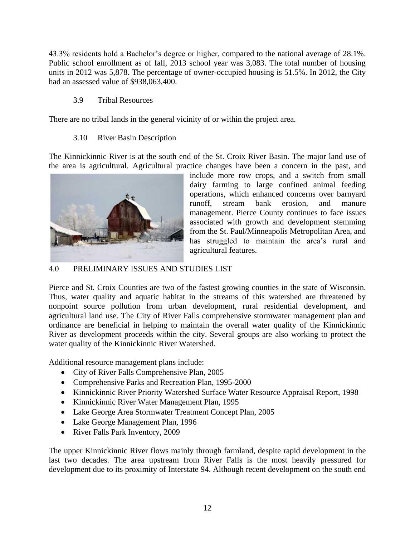43.3% residents hold a Bachelor's degree or higher, compared to the national average of 28.1%. Public school enrollment as of fall, 2013 school year was 3,083. The total number of housing units in 2012 was 5,878. The percentage of owner-occupied housing is 51.5%. In 2012, the City had an assessed value of \$938,063,400.

#### 3.9 Tribal Resources

There are no tribal lands in the general vicinity of or within the project area.

# 3.10 River Basin Description

The Kinnickinnic River is at the south end of the St. Croix River Basin. The major land use of the area is agricultural. Agricultural practice changes have been a concern in the past, and



include more row crops, and a switch from small dairy farming to large confined animal feeding operations, which enhanced concerns over barnyard runoff, stream bank erosion, and manure management. Pierce County continues to face issues associated with growth and development stemming from the St. Paul/Minneapolis Metropolitan Area, and has struggled to maintain the area's rural and agricultural features.

#### 4.0 PRELIMINARY ISSUES AND STUDIES LIST

Pierce and St. Croix Counties are two of the fastest growing counties in the state of Wisconsin. Thus, water quality and aquatic habitat in the streams of this watershed are threatened by nonpoint source pollution from urban development, rural residential development, and agricultural land use. The City of River Falls comprehensive stormwater management plan and ordinance are beneficial in helping to maintain the overall water quality of the Kinnickinnic River as development proceeds within the city. Several groups are also working to protect the water quality of the Kinnickinnic River Watershed.

Additional resource management plans include:

- City of River Falls Comprehensive Plan, 2005
- Comprehensive Parks and Recreation Plan, 1995-2000
- Kinnickinnic River Priority Watershed Surface Water Resource Appraisal Report, 1998
- Kinnickinnic River Water Management Plan, 1995
- Lake George Area Stormwater Treatment Concept Plan, 2005
- Lake George Management Plan, 1996
- River Falls Park Inventory, 2009

The upper Kinnickinnic River flows mainly through farmland, despite rapid development in the last two decades. The area upstream from River Falls is the most heavily pressured for development due to its proximity of Interstate 94. Although recent development on the south end